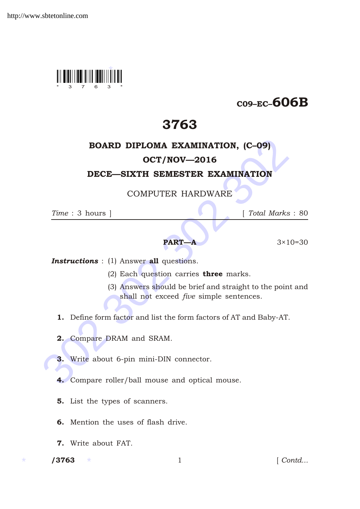

# C09–EC–606B

# 3763

## BOARD DIPLOMA EXAMINATION, (C–09)

### OCT/NOV—2016

### DECE—SIXTH SEMESTER EXAMINATION

COMPUTER HARDWARE

*Time* : 3 hours ] [ *Total Marks* : 80

### **PART—A**  $3 \times 10 = 30$

**Instructions** : (1) Answer all questions.

- (2) Each question carries three marks.
- **BOARD DIPLOMA EXAMINATION, (C-09)**<br> **OCT/NOV—2016**<br> **DECE—SIXTH SEMESTER EXAMINATION**<br>
COMPUTER HARDWARE<br>  $Time: 3 \text{ hours }$ <br> **PART—A** 3×10-<br> **Instructions** : (1) Answer all questions.<br>
(2) Each question carries three marks.<br>
( (3) Answers should be brief and straight to the point and shall not exceed *five* simple sentences.
	- 1. Define form factor and list the form factors of AT and Baby-AT.
	- 2. Compare DRAM and SRAM.
	- 3. Write about 6-pin mini-DIN connector.
	- 4. Compare roller/ball mouse and optical mouse.
	- 5. List the types of scanners.
	- 6. Mention the uses of flash drive.
	- 7. Write about FAT.

/3763

1 *Contd...*